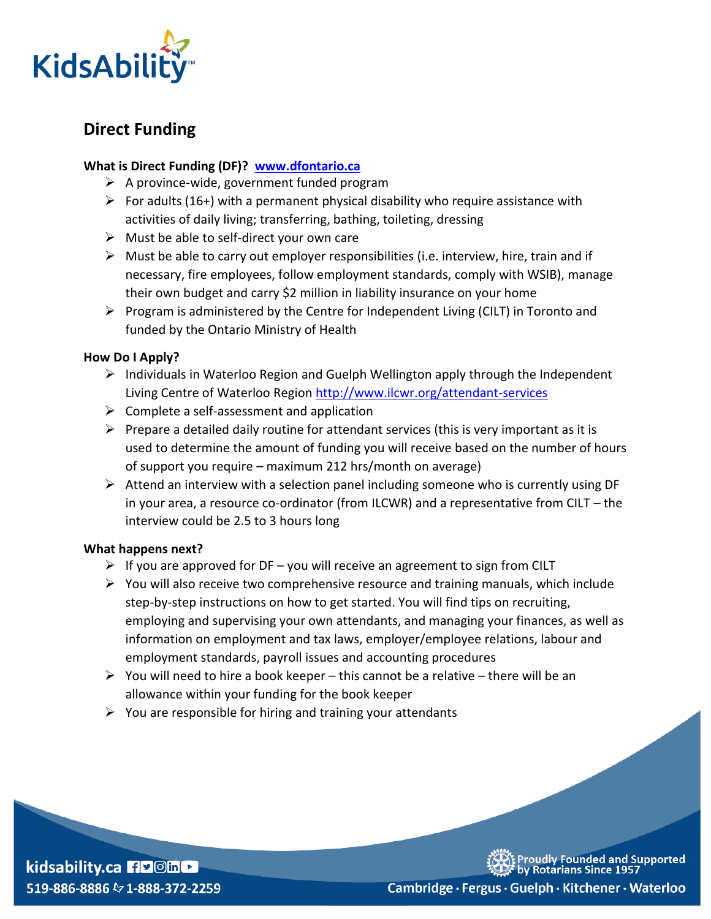

# **Direct Funding**

## **What is Direct Funding (DF)? [www.dfontario.ca](http://www.dfontario.ca/)**

- $\triangleright$  A province-wide, government funded program
- For adults (16+) with a permanent physical disability who require assistance with activities of daily living; transferring, bathing, toileting, dressing
- $\triangleright$  Must be able to self-direct your own care
- $\triangleright$  Must be able to carry out employer responsibilities (i.e. interview, hire, train and if necessary, fire employees, follow employment standards, comply with WSIB), manage their own budget and carry \$2 million in liability insurance on your home
- $\triangleright$  Program is administered by the Centre for Independent Living (CILT) in Toronto and funded by the Ontario Ministry of Health

### **How Do I Apply?**

- $\triangleright$  Individuals in Waterloo Region and Guelph Wellington apply through the Independent Living Centre of Waterloo Region<http://www.ilcwr.org/attendant-services>
- $\triangleright$  Complete a self-assessment and application
- $\triangleright$  Prepare a detailed daily routine for attendant services (this is very important as it is used to determine the amount of funding you will receive based on the number of hours of support you require – maximum 212 hrs/month on average)
- $\triangleright$  Attend an interview with a selection panel including someone who is currently using DF in your area, a resource co-ordinator (from ILCWR) and a representative from CILT – the interview could be 2.5 to 3 hours long

#### **What happens next?**

- $\triangleright$  If you are approved for DF you will receive an agreement to sign from CILT
- $\triangleright$  You will also receive two comprehensive resource and training manuals, which include step-by-step instructions on how to get started. You will find tips on recruiting, employing and supervising your own attendants, and managing your finances, as well as information on employment and tax laws, employer/employee relations, labour and employment standards, payroll issues and accounting procedures
- $\triangleright$  You will need to hire a book keeper this cannot be a relative there will be an allowance within your funding for the book keeper
- $\triangleright$  You are responsible for hiring and training your attendants



roudly Founded and Supported<br>y Rotarians Since 1957

Cambridge · Fergus · Guelph · Kitchener · Waterloo